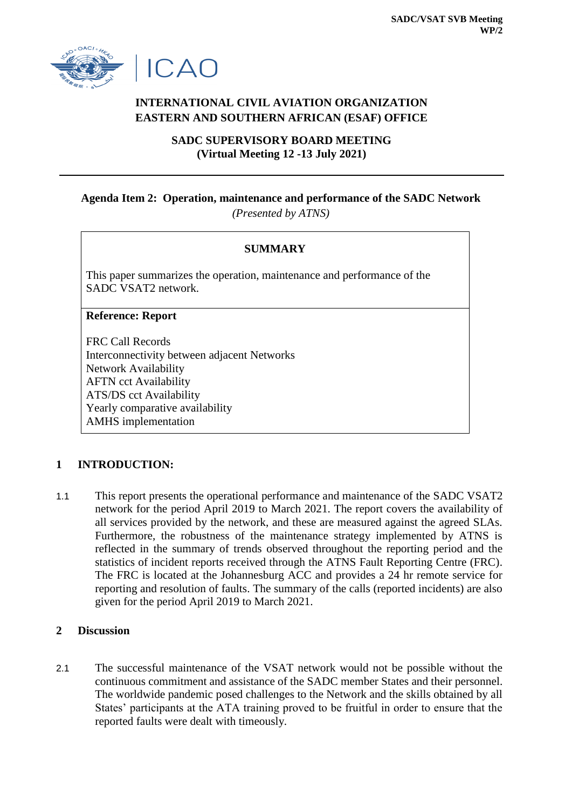



# **INTERNATIONAL CIVIL AVIATION ORGANIZATION EASTERN AND SOUTHERN AFRICAN (ESAF) OFFICE**

**SADC SUPERVISORY BOARD MEETING (Virtual Meeting 12 -13 July 2021)**

# **Agenda Item 2: Operation, maintenance and performance of the SADC Network** *(Presented by ATNS)*

# **SUMMARY**

This paper summarizes the operation, maintenance and performance of the SADC VSAT2 network.

#### **Reference: Report**

FRC Call Records Interconnectivity between adjacent Networks Network Availability AFTN cct Availability ATS/DS cct Availability Yearly comparative availability AMHS implementation

# **1 INTRODUCTION:**

1.1 This report presents the operational performance and maintenance of the SADC VSAT2 network for the period April 2019 to March 2021. The report covers the availability of all services provided by the network, and these are measured against the agreed SLAs. Furthermore, the robustness of the maintenance strategy implemented by ATNS is reflected in the summary of trends observed throughout the reporting period and the statistics of incident reports received through the ATNS Fault Reporting Centre (FRC). The FRC is located at the Johannesburg ACC and provides a 24 hr remote service for reporting and resolution of faults. The summary of the calls (reported incidents) are also given for the period April 2019 to March 2021.

# **2 Discussion**

2.1 The successful maintenance of the VSAT network would not be possible without the continuous commitment and assistance of the SADC member States and their personnel. The worldwide pandemic posed challenges to the Network and the skills obtained by all States' participants at the ATA training proved to be fruitful in order to ensure that the reported faults were dealt with timeously.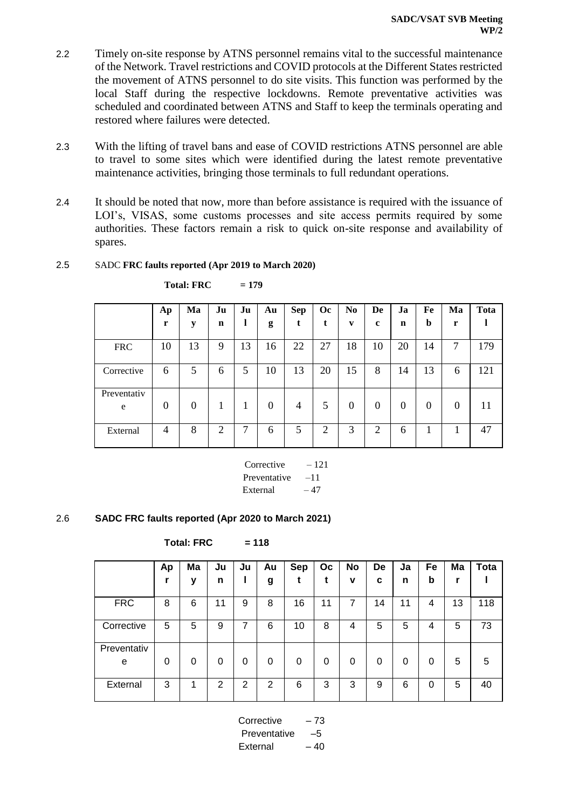- 2.2 Timely on-site response by ATNS personnel remains vital to the successful maintenance of the Network. Travel restrictions and COVID protocols at the Different States restricted the movement of ATNS personnel to do site visits. This function was performed by the local Staff during the respective lockdowns. Remote preventative activities was scheduled and coordinated between ATNS and Staff to keep the terminals operating and restored where failures were detected.
- 2.3 With the lifting of travel bans and ease of COVID restrictions ATNS personnel are able to travel to some sites which were identified during the latest remote preventative maintenance activities, bringing those terminals to full redundant operations.
- 2.4 It should be noted that now, more than before assistance is required with the issuance of LOI's, VISAS, some customs processes and site access permits required by some authorities. These factors remain a risk to quick on-site response and availability of spares.

| 2.5 | SADC FRC faults reported (Apr 2019 to March 2020) |  |
|-----|---------------------------------------------------|--|
|     |                                                   |  |

|                  | Ap<br>r        | Ma<br>y  | Ju<br>n | Ju | Au<br>g  | <b>Sep</b><br>t | <b>Oc</b> | N <sub>0</sub><br>$\mathbf{v}$ | De<br>c        | Ja<br>n  | Fe<br>b  | Ma<br>r  | Tota |
|------------------|----------------|----------|---------|----|----------|-----------------|-----------|--------------------------------|----------------|----------|----------|----------|------|
| <b>FRC</b>       | 10             | 13       | 9       | 13 | 16       | 22              | 27        | 18                             | 10             | 20       | 14       | 7        | 179  |
| Corrective       | 6              | 5        | 6       | 5  | 10       | 13              | 20        | 15                             | 8              | 14       | 13       | 6        | 121  |
| Preventativ<br>e | $\theta$       | $\theta$ | 1       | 1  | $\Omega$ | 4               | 5         | $\Omega$                       | $\overline{0}$ | $\theta$ | $\Omega$ | $\theta$ | 11   |
| External         | $\overline{4}$ | 8        | 2       | 7  | 6        | 5               | 2         | 3                              | 2              | 6        |          | 1        | 47   |

 $Total: FRC = 179$ 

 Corrective – 121 Preventative –11 External  $-47$ 

# 2.6 **SADC FRC faults reported (Apr 2020 to March 2021)**

**Total: FRC = 118**

|                  | Ap | Ma | Ju       | Ju | Au | <b>Sep</b> | Oc | No | De | Ja       | Fe | Ma | Tota |
|------------------|----|----|----------|----|----|------------|----|----|----|----------|----|----|------|
|                  |    | y  | n        |    | g  |            | t  | v  | C  | n        | b  |    |      |
| <b>FRC</b>       | 8  | 6  | 11       | 9  | 8  | 16         | 11 | 7  | 14 | 11       | 4  | 13 | 118  |
| Corrective       | 5  | 5  | 9        | 7  | 6  | 10         | 8  | 4  | 5  | 5        | 4  | 5  | 73   |
| Preventativ<br>e | 0  | 0  | $\Omega$ | 0  | 0  | 0          | 0  | 0  | 0  | $\Omega$ | 0  | 5  | 5    |
| External         | 3  | 1  | 2        | 2  | 2  | 6          | 3  | 3  | 9  | 6        | 0  | 5  | 40   |

Corrective – 73 Preventative –5  $External - 40$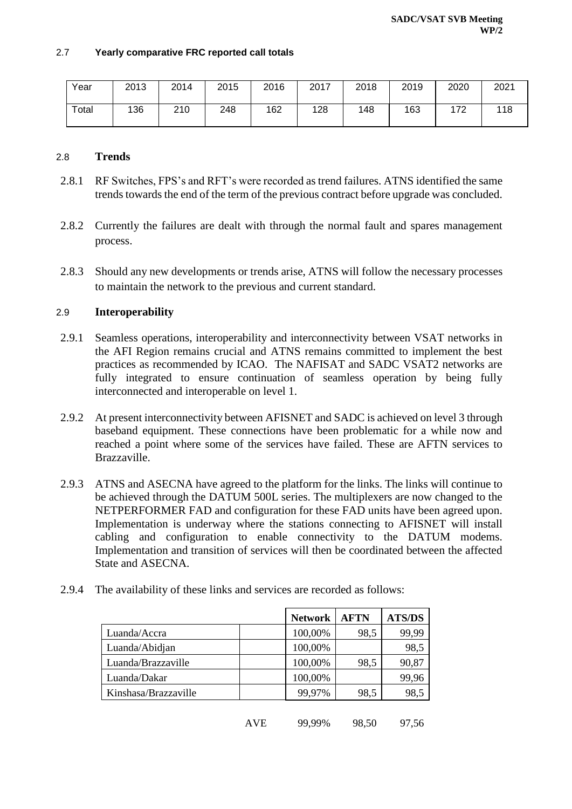#### 2.7 **Yearly comparative FRC reported call totals**

| Year  | 2013 | 2014 | 2015 | 2016 | 2017 | 2018 | 2019 | 2020 | 2021 |
|-------|------|------|------|------|------|------|------|------|------|
| Total | 136  | 210  | 248  | 162  | 128  | 148  | 163  | 172  | 118  |

#### 2.8 **Trends**

- 2.8.1 RF Switches, FPS's and RFT's were recorded as trend failures. ATNS identified the same trends towards the end of the term of the previous contract before upgrade was concluded.
- 2.8.2 Currently the failures are dealt with through the normal fault and spares management process.
- 2.8.3 Should any new developments or trends arise, ATNS will follow the necessary processes to maintain the network to the previous and current standard.

#### 2.9 **Interoperability**

- 2.9.1 Seamless operations, interoperability and interconnectivity between VSAT networks in the AFI Region remains crucial and ATNS remains committed to implement the best practices as recommended by ICAO. The NAFISAT and SADC VSAT2 networks are fully integrated to ensure continuation of seamless operation by being fully interconnected and interoperable on level 1.
- 2.9.2 At present interconnectivity between AFISNET and SADC is achieved on level 3 through baseband equipment. These connections have been problematic for a while now and reached a point where some of the services have failed. These are AFTN services to Brazzaville.
- 2.9.3 ATNS and ASECNA have agreed to the platform for the links. The links will continue to be achieved through the DATUM 500L series. The multiplexers are now changed to the NETPERFORMER FAD and configuration for these FAD units have been agreed upon. Implementation is underway where the stations connecting to AFISNET will install cabling and configuration to enable connectivity to the DATUM modems. Implementation and transition of services will then be coordinated between the affected State and ASECNA.
- 2.9.4 The availability of these links and services are recorded as follows:

|                      | <b>Network</b> | <b>AFTN</b> | <b>ATS/DS</b> |
|----------------------|----------------|-------------|---------------|
| Luanda/Accra         | 100,00%        | 98,5        | 99,99         |
| Luanda/Abidjan       | 100,00%        |             | 98,5          |
| Luanda/Brazzaville   | 100,00%        | 98,5        | 90,87         |
| Luanda/Dakar         | 100,00%        |             | 99,96         |
| Kinshasa/Brazzaville | 99,97%         | 98,5        | 98,5          |
|                      |                |             |               |

AVE 99,99% 98,50 97,56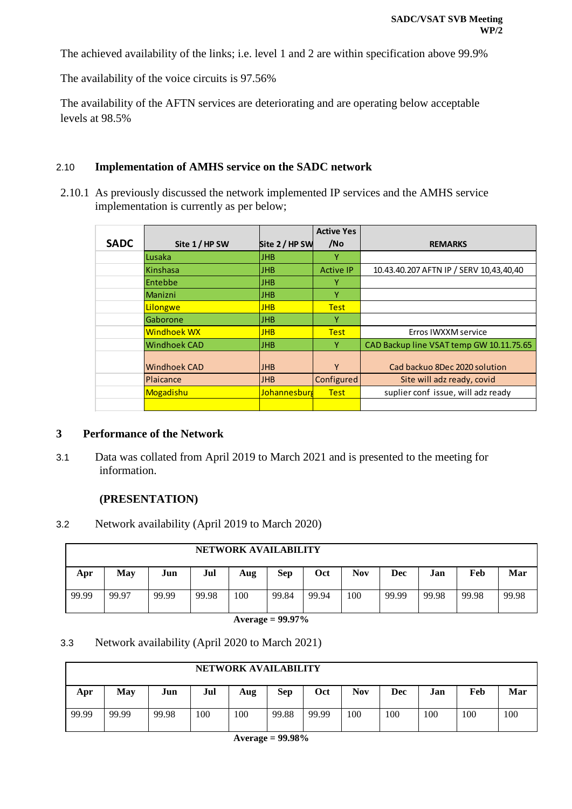The achieved availability of the links; i.e. level 1 and 2 are within specification above 99.9%

The availability of the voice circuits is 97.56%

The availability of the AFTN services are deteriorating and are operating below acceptable levels at 98.5%

#### 2.10 **Implementation of AMHS service on the SADC network**

2.10.1 As previously discussed the network implemented IP services and the AMHS service implementation is currently as per below;

|             |                     |                | <b>Active Yes</b> |                                          |
|-------------|---------------------|----------------|-------------------|------------------------------------------|
| <b>SADC</b> | Site 1/HP SW        | Site 2 / HP SW | /No               | <b>REMARKS</b>                           |
|             | Lusaka              | <b>JHB</b>     | v                 |                                          |
|             | Kinshasa            | <b>JHB</b>     | <b>Active IP</b>  | 10.43.40.207 AFTN IP / SERV 10,43,40,40  |
|             | Entebbe             | <b>JHB</b>     | v                 |                                          |
|             | <b>Manizni</b>      | <b>JHB</b>     | ٧                 |                                          |
|             | Lilongwe            | <b>JHB</b>     | <b>Test</b>       |                                          |
|             | Gaborone            | <b>JHB</b>     | Y                 |                                          |
|             | <b>Windhoek WX</b>  | <b>JHB</b>     | <b>Test</b>       | Erros IWXXM service                      |
|             | <b>Windhoek CAD</b> | <b>JHB</b>     | Υ                 | CAD Backup line VSAT temp GW 10.11.75.65 |
|             | <b>Windhoek CAD</b> | <b>JHB</b>     | γ                 | Cad backuo 8Dec 2020 solution            |
|             | Plaicance           | <b>JHB</b>     | Configured        | Site will adz ready, covid               |
|             | Mogadishu           | Johannesburg   | <b>Test</b>       | suplier conf issue, will adz ready       |
|             |                     |                |                   |                                          |

#### **3 Performance of the Network**

3.1 Data was collated from April 2019 to March 2021 and is presented to the meeting for information.

#### **(PRESENTATION)**

3.2 Network availability (April 2019 to March 2020)

|       | <b>NETWORK AVAILABILITY</b> |       |       |     |            |       |            |       |       |       |       |  |  |  |
|-------|-----------------------------|-------|-------|-----|------------|-------|------------|-------|-------|-------|-------|--|--|--|
| Apr   | Mav                         | Jun   | Jul   | Aug | <b>Sep</b> | Oct   | <b>Nov</b> | Dec   | Jan   | Feb   | Mar   |  |  |  |
| 99.99 | 99.97                       | 99.99 | 99.98 | 100 | 99.84      | 99.94 | 100        | 99.99 | 99.98 | 99.98 | 99.98 |  |  |  |

#### **Average = 99.97%**

#### 3.3 Network availability (April 2020 to March 2021)

|       | NETWORK AVAILABILITY |       |     |     |            |       |     |     |     |     |     |  |  |  |
|-------|----------------------|-------|-----|-----|------------|-------|-----|-----|-----|-----|-----|--|--|--|
| Apr   | <b>May</b>           | Jun   | Jul | Aug | <b>Sep</b> | Oct   | Nov | Dec | Jan | Feb | Mar |  |  |  |
| 99.99 | 99.99                | 99.98 | 100 | 100 | 99.88      | 99.99 | 100 | 100 | 100 | 100 | 100 |  |  |  |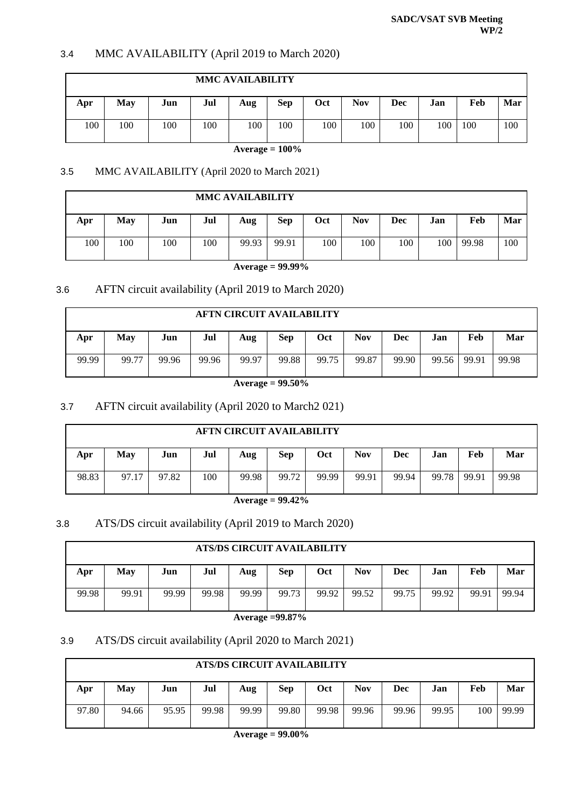#### 3.4 MMC AVAILABILITY (April 2019 to March 2020)

|     | <b>MMC AVAILABILITY</b> |     |     |     |            |            |            |     |     |     |     |  |  |  |
|-----|-------------------------|-----|-----|-----|------------|------------|------------|-----|-----|-----|-----|--|--|--|
| Apr | <b>May</b>              | Jun | Jul | Aug | <b>Sep</b> | <b>Oct</b> | <b>Nov</b> | Dec | Jan | Feb | Mar |  |  |  |
| 100 | 100                     | 100 | 100 | 100 | 100        | 100        | 100        | 100 | 100 | 100 | 100 |  |  |  |

**Average = 100%**

#### 3.5 MMC AVAILABILITY (April 2020 to March 2021)

|     | <b>MMC AVAILABILITY</b> |     |     |                     |       |            |            |     |     |       |     |  |  |  |
|-----|-------------------------|-----|-----|---------------------|-------|------------|------------|-----|-----|-------|-----|--|--|--|
| Apr | May                     | Jun | Jul | Aug                 | Sep   | <b>Oct</b> | <b>Nov</b> | Dec | Jan | Feb   | Mar |  |  |  |
| 100 | 100                     | 100 | 100 | 99.93               | 99.91 | 100        | 100        | 100 | 100 | 99.98 | 100 |  |  |  |
|     |                         |     |     | Average = $99.99\%$ |       |            |            |     |     |       |     |  |  |  |

# 3.6 AFTN circuit availability (April 2019 to March 2020)

# **AFTN CIRCUIT AVAILABILITY Apr May Jun Jul Aug Sep Oct Nov Dec Jan Feb Mar** 99.99 99.77 99.96 99.96 99.97 99.88 99.75 99.87 99.90 99.56 99.91 99.98

**Average = 99.50%**

# 3.7 AFTN circuit availability (April 2020 to March2 021)

|       | <b>AFTN CIRCUIT AVAILABILITY</b> |       |     |       |            |       |            |       |       |       |       |  |  |  |
|-------|----------------------------------|-------|-----|-------|------------|-------|------------|-------|-------|-------|-------|--|--|--|
| Apr   | May                              | Jun   | Jul | Aug   | <b>Sep</b> | Oct   | <b>Nov</b> | Dec   | Jan   | Feb   | Mar   |  |  |  |
| 98.83 | 97.17                            | 97.82 | 100 | 99.98 | 99.72      | 99.99 | 99.91      | 99.94 | 99.78 | 99.91 | 99.98 |  |  |  |

#### **Average = 99.42%**

# 3.8 ATS/DS circuit availability (April 2019 to March 2020)

|       | ATS/DS CIRCUIT AVAILABILITY |       |       |       |       |       |            |       |       |       |       |  |  |
|-------|-----------------------------|-------|-------|-------|-------|-------|------------|-------|-------|-------|-------|--|--|
| Apr   | Mav                         | Jun   | Jul   | Aug   | Sep   | Oct   | <b>Nov</b> | Dec   | Jan   | Feb   | Mar   |  |  |
| 99.98 | 99.91                       | 99.99 | 99.98 | 99.99 | 99.73 | 99.92 | 99.52      | 99.75 | 99.92 | 99.91 | 99.94 |  |  |

**Average =99.87%**

#### 3.9 ATS/DS circuit availability (April 2020 to March 2021)

|       | <b>ATS/DS CIRCUIT AVAILABILITY</b> |       |       |       |            |       |            |       |       |     |       |  |
|-------|------------------------------------|-------|-------|-------|------------|-------|------------|-------|-------|-----|-------|--|
| Apr   | May                                | Jun   | Jul   | Aug   | <b>Sep</b> | Oct   | <b>Nov</b> | Dec   | Jan   | Feb | Mar   |  |
| 97.80 | 94.66                              | 95.95 | 99.98 | 99.99 | 99.80      | 99.98 | 99.96      | 99.96 | 99.95 | 100 | 99.99 |  |

**Average = 99.00%**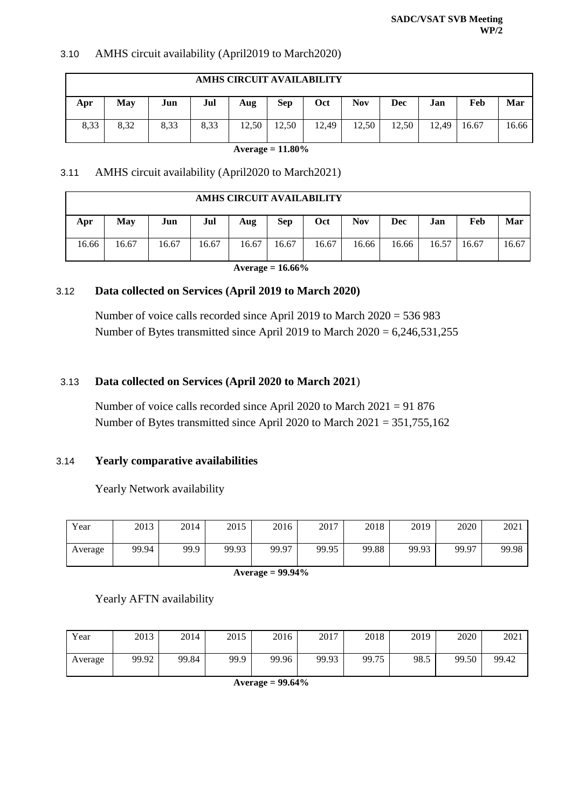### 3.10 AMHS circuit availability (April2019 to March2020)

|      | AMHS CIRCUIT AVAILABILITY |      |      |       |            |       |            |       |       |       |       |  |
|------|---------------------------|------|------|-------|------------|-------|------------|-------|-------|-------|-------|--|
| Apr  | May                       | Jun  | Jul  | Aug   | <b>Sep</b> | Oct   | <b>Nov</b> | Dec   | Jan   | Feb   | Mar   |  |
| 8,33 | 8,32                      | 8,33 | 8,33 | 12,50 | 12,50      | 12.49 | 12,50      | 12,50 | 12,49 | 16.67 | 16.66 |  |

**Average = 11.80%**

#### 3.11 AMHS circuit availability (April2020 to March2021)

| AMHS CIRCUIT AVAILABILITY |       |       |       |       |       |       |            |       |       |       |       |
|---------------------------|-------|-------|-------|-------|-------|-------|------------|-------|-------|-------|-------|
| Apr                       | May   | Jun   | Jul   | Aug   | Sep   | Oct   | <b>Nov</b> | Dec   | Jan   | Feb   | Mar   |
| 16.66                     | 16.67 | 16.67 | 16.67 | 16.67 | 16.67 | 16.67 | 16.66      | 16.66 | 16.57 | 16.67 | 16.67 |

**Average = 16.66%**

#### 3.12 **Data collected on Services (April 2019 to March 2020)**

Number of voice calls recorded since April 2019 to March 2020 = 536 983 Number of Bytes transmitted since April 2019 to March 2020 = 6,246,531,255

# 3.13 **Data collected on Services (April 2020 to March 2021**)

Number of voice calls recorded since April 2020 to March 2021 = 91 876 Number of Bytes transmitted since April 2020 to March 2021 = 351,755,162

# 3.14 **Yearly comparative availabilities**

Yearly Network availability

| Year    | 2013  | 2014 | 2015  | 2016  | 2017  | 2018  | 2019  | 2020  | 2021  |
|---------|-------|------|-------|-------|-------|-------|-------|-------|-------|
| Average | 99.94 | 99.9 | 99.93 | 99.97 | 99.95 | 99.88 | 99.93 | 99.97 | 99.98 |

**Average = 99.94%**

Yearly AFTN availability

| Year    | 2013  | 2014  | 2015 | 2016  | 2017  | 2018  | 2019 | 2020  | 2021  |
|---------|-------|-------|------|-------|-------|-------|------|-------|-------|
| Average | 99.92 | 99.84 | 99.9 | 99.96 | 99.93 | 99.75 | 98.5 | 99.50 | 99.42 |